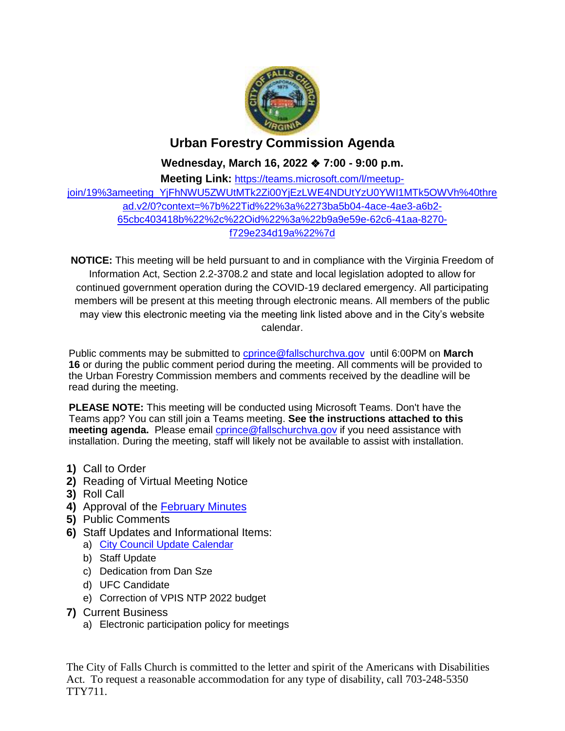

## **Urban Forestry Commission Agenda**

**Wednesday, March 16, 2022** ❖ **7:00 - 9:00 p.m.**

**Meeting Link:** [https://teams.microsoft.com/l/meetup](https://teams.microsoft.com/l/meetup-join/19%3ameeting_YjFhNWU5ZWUtMTk2Zi00YjEzLWE4NDUtYzU0YWI1MTk5OWVh%40thread.v2/0?context=%7b%22Tid%22%3a%2273ba5b04-4ace-4ae3-a6b2-65cbc403418b%22%2c%22Oid%22%3a%22b9a9e59e-62c6-41aa-8270-f729e234d19a%22%7d)[join/19%3ameeting\\_YjFhNWU5ZWUtMTk2Zi00YjEzLWE4NDUtYzU0YWI1MTk5OWVh%40thre](https://teams.microsoft.com/l/meetup-join/19%3ameeting_YjFhNWU5ZWUtMTk2Zi00YjEzLWE4NDUtYzU0YWI1MTk5OWVh%40thread.v2/0?context=%7b%22Tid%22%3a%2273ba5b04-4ace-4ae3-a6b2-65cbc403418b%22%2c%22Oid%22%3a%22b9a9e59e-62c6-41aa-8270-f729e234d19a%22%7d) [ad.v2/0?context=%7b%22Tid%22%3a%2273ba5b04-4ace-4ae3-a6b2-](https://teams.microsoft.com/l/meetup-join/19%3ameeting_YjFhNWU5ZWUtMTk2Zi00YjEzLWE4NDUtYzU0YWI1MTk5OWVh%40thread.v2/0?context=%7b%22Tid%22%3a%2273ba5b04-4ace-4ae3-a6b2-65cbc403418b%22%2c%22Oid%22%3a%22b9a9e59e-62c6-41aa-8270-f729e234d19a%22%7d) [65cbc403418b%22%2c%22Oid%22%3a%22b9a9e59e-62c6-41aa-8270](https://teams.microsoft.com/l/meetup-join/19%3ameeting_YjFhNWU5ZWUtMTk2Zi00YjEzLWE4NDUtYzU0YWI1MTk5OWVh%40thread.v2/0?context=%7b%22Tid%22%3a%2273ba5b04-4ace-4ae3-a6b2-65cbc403418b%22%2c%22Oid%22%3a%22b9a9e59e-62c6-41aa-8270-f729e234d19a%22%7d) [f729e234d19a%22%7d](https://teams.microsoft.com/l/meetup-join/19%3ameeting_YjFhNWU5ZWUtMTk2Zi00YjEzLWE4NDUtYzU0YWI1MTk5OWVh%40thread.v2/0?context=%7b%22Tid%22%3a%2273ba5b04-4ace-4ae3-a6b2-65cbc403418b%22%2c%22Oid%22%3a%22b9a9e59e-62c6-41aa-8270-f729e234d19a%22%7d)

**NOTICE:** This meeting will be held pursuant to and in compliance with the Virginia Freedom of Information Act, Section 2.2-3708.2 and state and local legislation adopted to allow for continued government operation during the COVID-19 declared emergency. All participating members will be present at this meeting through electronic means. All members of the public may view this electronic meeting via the meeting link listed above and in the City's website calendar.

Public comments may be submitted to [cprince@fallschurchva.gov](mailto:cprince@fallschurchva.gov) until 6:00PM on **March 16** or during the public comment period during the meeting. All comments will be provided to the Urban Forestry Commission members and comments received by the deadline will be read during the meeting.

**PLEASE NOTE:** This meeting will be conducted using Microsoft Teams. Don't have the Teams app? You can still join a Teams meeting. **See the instructions attached to this meeting agenda.** Please email *corince@fallschurchva.gov* if you need assistance with installation. During the meeting, staff will likely not be available to assist with installation.

- **1)** Call to Order
- **2)** Reading of Virtual Meeting Notice
- **3)** Roll Call
- **4)** Approval of the [February Minutes](https://www.fallschurchva.gov/DocumentCenter/View/15928/2022-2-16-UFC-Minutes---Draft)
- **5)** Public Comments
- **6)** Staff Updates and Informational Items:
	- a) [City Council Update Calendar](https://www.fallschurchva.gov/DocumentCenter/View/15929/Council-Schedule)
	- b) Staff Update
	- c) Dedication from Dan Sze
	- d) UFC Candidate
	- e) Correction of VPIS NTP 2022 budget
- **7)** Current Business
	- a) Electronic participation policy for meetings

The City of Falls Church is committed to the letter and spirit of the Americans with Disabilities Act. To request a reasonable accommodation for any type of disability, call 703-248-5350 TTY711.